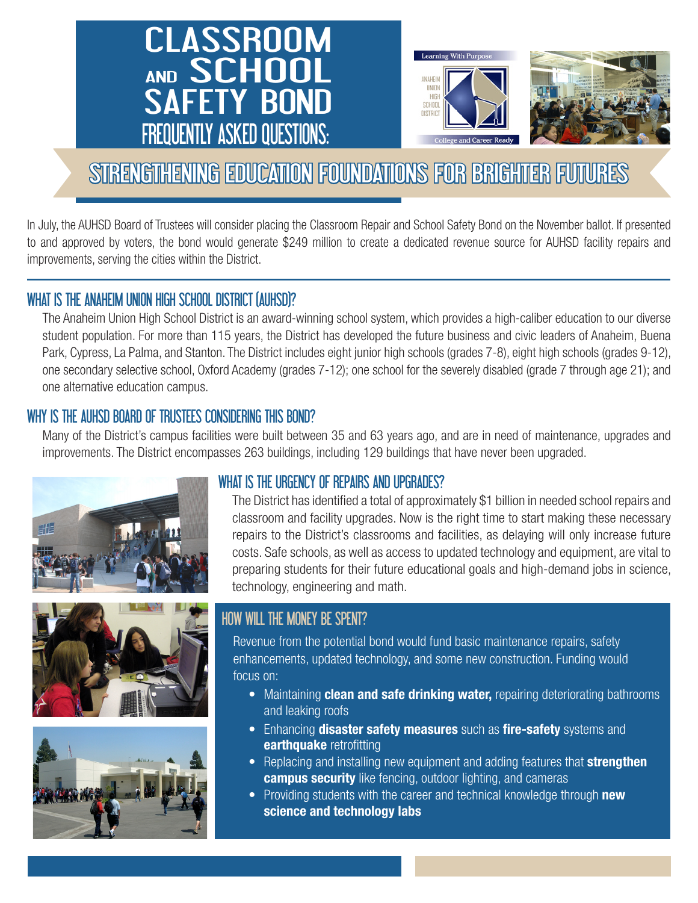# CLASSROOM AND SCHOOL SAFETY BOND FREQUENTLY ASKED QUESTIONS:





# STRENGTHENING EDUCATION FOUNDATIONS FOR BRIGHTER FUTURES

In July, the AUHSD Board of Trustees will consider placing the Classroom Repair and School Safety Bond on the November ballot. If presented to and approved by voters, the bond would generate \$249 million to create a dedicated revenue source for AUHSD facility repairs and improvements, serving the cities within the District.

## WHAT IS THE ANAHEIM UNION HIGH SCHOOL DISTRICT (AUHSD)?

The Anaheim Union High School District is an award-winning school system, which provides a high-caliber education to our diverse student population. For more than 115 years, the District has developed the future business and civic leaders of Anaheim, Buena Park, Cypress, La Palma, and Stanton. The District includes eight junior high schools (grades 7-8), eight high schools (grades 9-12), one secondary selective school, Oxford Academy (grades 7-12); one school for the severely disabled (grade 7 through age 21); and one alternative education campus.

## WHY IS THE AUHSD BOARD OF TRUSTEES CONSIDERING THIS BOND?

Many of the District's campus facilities were built between 35 and 63 years ago, and are in need of maintenance, upgrades and improvements. The District encompasses 263 buildings, including 129 buildings that have never been upgraded.







## WHAT IS THE URGENCY OF REPAIRS AND UPGRADES?

The District has identified a total of approximately \$1 billion in needed school repairs and classroom and facility upgrades. Now is the right time to start making these necessary repairs to the District's classrooms and facilities, as delaying will only increase future costs. Safe schools, as well as access to updated technology and equipment, are vital to preparing students for their future educational goals and high-demand jobs in science, technology, engineering and math.

# HOW WILL THE MONEY BE SPENT?

Revenue from the potential bond would fund basic maintenance repairs, safety enhancements, updated technology, and some new construction. Funding would focus on:

- Maintaining clean and safe drinking water, repairing deteriorating bathrooms and leaking roofs
- Enhancing **disaster safety measures** such as **fire-safety** systems and earthquake retrofitting
- Replacing and installing new equipment and adding features that **strengthen campus security** like fencing, outdoor lighting, and cameras
- Providing students with the career and technical knowledge through new science and technology labs